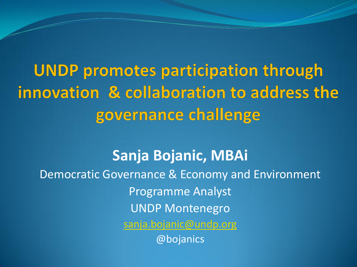**UNDP promotes participation through** innovation & collaboration to address the governance challenge

**Sanja Bojanic, MBAi** Democratic Governance & Economy and Environment Programme Analyst UNDP Montenegro [sanja.bojanic@undp.org](mailto:sanja.bojanic@undp.org) @bojanics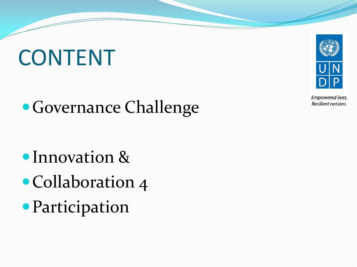## CONTENT

### Governance Challenge

- Innovation &
- Collaboration 4
- Participation



Empowered lives. Resilient nations.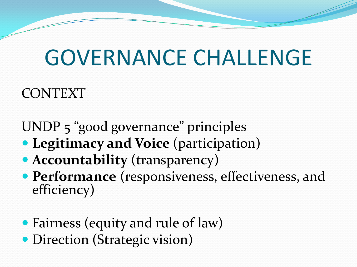## GOVERNANCE CHALLENGE

### CONTEXT

UNDP 5 "good governance" principles

- **Legitimacy and Voice** (participation)
- **Accountability** (transparency)
- **Performance** (responsiveness, effectiveness, and efficiency)
- Fairness (equity and rule of law)
- Direction (Strategic vision)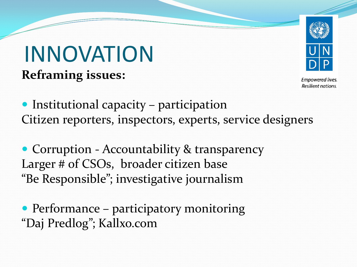### **Reframing issues:** INNOVATION



Empowered lives. Resilient nations.

• Institutional capacity – participation Citizen reporters, inspectors, experts, service designers

• Corruption - Accountability & transparency Larger # of CSOs, broader citizen base "Be Responsible"; investigative journalism

• Performance – participatory monitoring "Daj Predlog"; Kallxo.com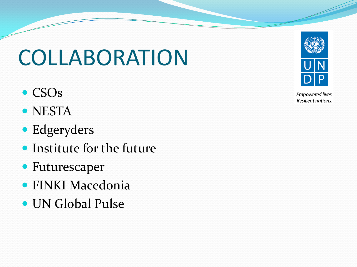# COLLABORATION

- CSOs
- NESTA
- Edgeryders
- Institute for the future
- Futurescaper
- FINKI Macedonia
- UN Global Pulse



Empowered lives. Resilient nations.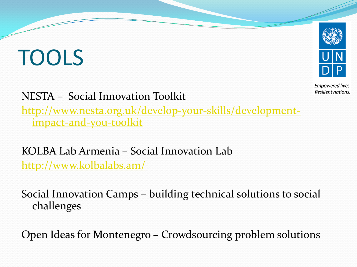# TOOLS



Empowered lives. Resilient nations.

NESTA – Social Innovation Toolkit

[http://www.nesta.org.uk/develop-your-skills/development](http://www.nesta.org.uk/develop-your-skills/development-impact-and-you-toolkit)[impact-and-you-toolkit](http://www.nesta.org.uk/develop-your-skills/development-impact-and-you-toolkit)

KOLBA Lab Armenia – Social Innovation Lab <http://www.kolbalabs.am/>

Social Innovation Camps – building technical solutions to social challenges

Open Ideas for Montenegro – Crowdsourcing problem solutions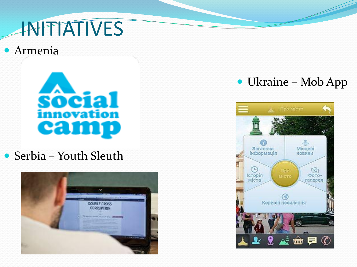### **INITIATIVES**

#### Armenia



Serbia – Youth Sleuth



#### Ukraine – Mob App

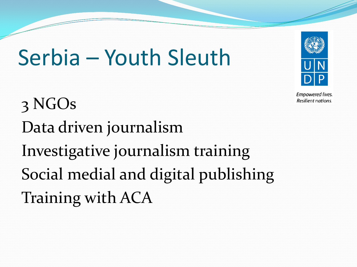## Serbia – Youth Sleuth

3 NGOs Data driven journalism Investigative journalism training Social medial and digital publishing Training with ACA



Empowered lives. Resilient nations.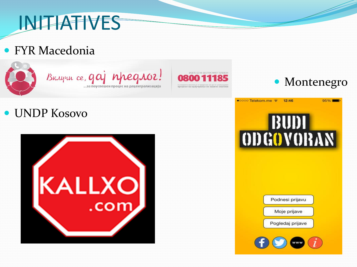### INITIATIVES

#### FYR Macedonia



BRAYUL ce, gaj npegroz!



#### UNDP Kosovo





95%



12:46

●0000 Telekom.me



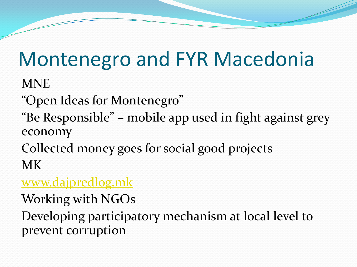### Montenegro and FYR Macedonia

MNE

"Open Ideas for Montenegro"

- "Be Responsible" mobile app used in fight against grey economy
- Collected money goes for social good projects MK

#### [www.dajpredlog.mk](http://www.dajpredlog.mk/)

Working with NGOs

Developing participatory mechanism at local level to prevent corruption